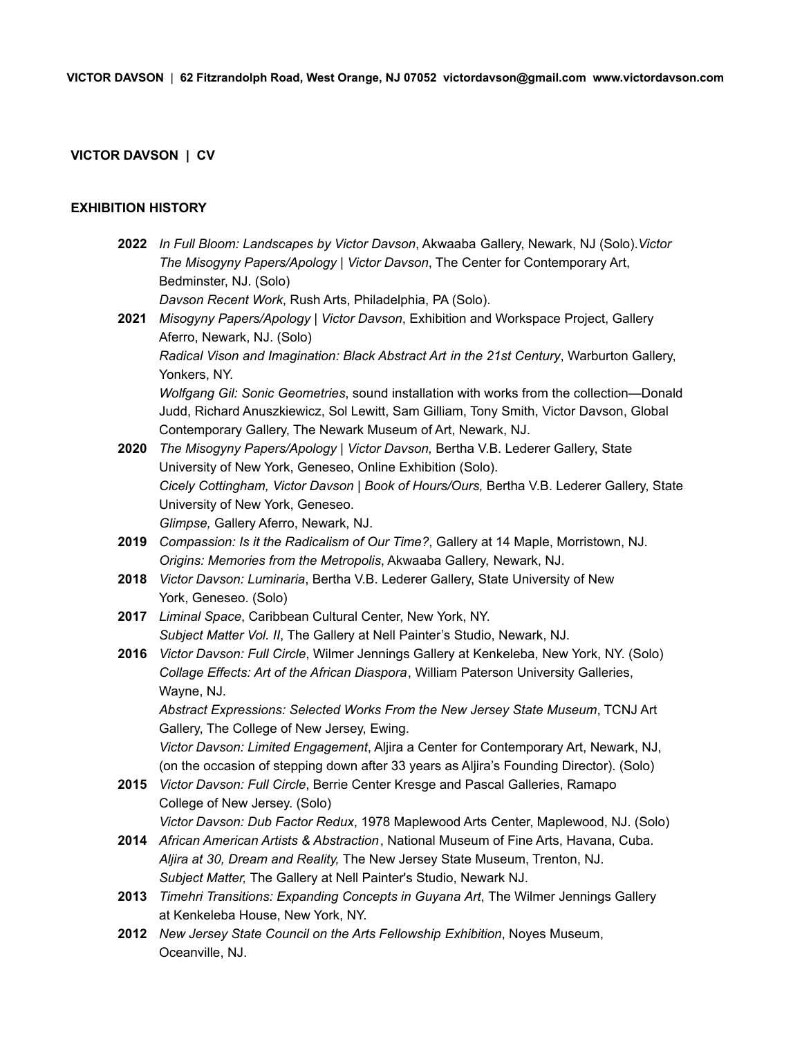# **VICTOR DAVSON | CV**

### **EXHIBITION HISTORY**

- **2022** *In Full Bloom: Landscapes by Victor Davson*, Akwaaba Gallery, Newark, NJ (Solo).*Victor The Misogyny Papers/Apology | Victor Davson*, The Center for Contemporary Art, Bedminster, NJ. (Solo) *Davson Recent Work*, Rush Arts, Philadelphia, PA (Solo).
- **2021** *Misogyny Papers/Apology | Victor Davson*, Exhibition and Workspace Project, Gallery Aferro, Newark, NJ. (Solo) *Radical Vison and Imagination: Black Abstract Art in the 21st Century*, Warburton Gallery, Yonkers, NY. *Wolfgang Gil: Sonic Geometries*, sound installation with works from the collection—Donald Judd, Richard Anuszkiewicz, Sol Lewitt, Sam Gilliam, Tony Smith, Victor Davson, Global Contemporary Gallery, The Newark Museum of Art, Newark, NJ.
- **2020** *The Misogyny Papers/Apology | Victor Davson,* Bertha V.B. Lederer Gallery, State University of New York, Geneseo, Online Exhibition (Solo). *Cicely Cottingham, Victor Davson | Book of Hours/Ours,* Bertha V.B. Lederer Gallery, State University of New York, Geneseo. *Glimpse,* Gallery Aferro, Newark, NJ.
- **2019** *Compassion: Is it the Radicalism of Our Time?*, Gallery at 14 Maple, Morristown, NJ. *Origins: Memories from the Metropolis*, Akwaaba Gallery, Newark, NJ.
- **2018** *Victor Davson: Luminaria*, Bertha V.B. Lederer Gallery, State University of New York, Geneseo. (Solo)
- **2017** *Liminal Space*, Caribbean Cultural Center, New York, NY. *Subject Matter Vol. II*, The Gallery at Nell Painter's Studio, Newark, NJ.
- **2016** *Victor Davson: Full Circle*, Wilmer Jennings Gallery at Kenkeleba, New York, NY. (Solo) *Collage Effects: Art of the African Diaspora*, William Paterson University Galleries, Wayne, NJ.

*Abstract Expressions: Selected Works From the New Jersey State Museum*, TCNJ Art Gallery, The College of New Jersey, Ewing.

*Victor Davson: Limited Engagement*, Aljira a Center for Contemporary Art, Newark, NJ, (on the occasion of stepping down after 33 years as Aljira's Founding Director). (Solo)

**2015** *Victor Davson: Full Circle*, Berrie Center Kresge and Pascal Galleries, Ramapo College of New Jersey. (Solo)

*Victor Davson: Dub Factor Redux*, 1978 Maplewood Arts Center, Maplewood, NJ. (Solo)

- **2014** *African American Artists & Abstraction*, National Museum of Fine Arts, Havana, Cuba. *Aljira at 30, Dream and Reality,* The New Jersey State Museum, Trenton, NJ. *Subject Matter,* The Gallery at Nell Painter's Studio, Newark NJ.
- **2013** *Timehri Transitions: Expanding Concepts in Guyana Art*, The Wilmer Jennings Gallery at Kenkeleba House, New York, NY.
- **2012** *New Jersey State Council on the Arts Fellowship Exhibition*, Noyes Museum, Oceanville, NJ.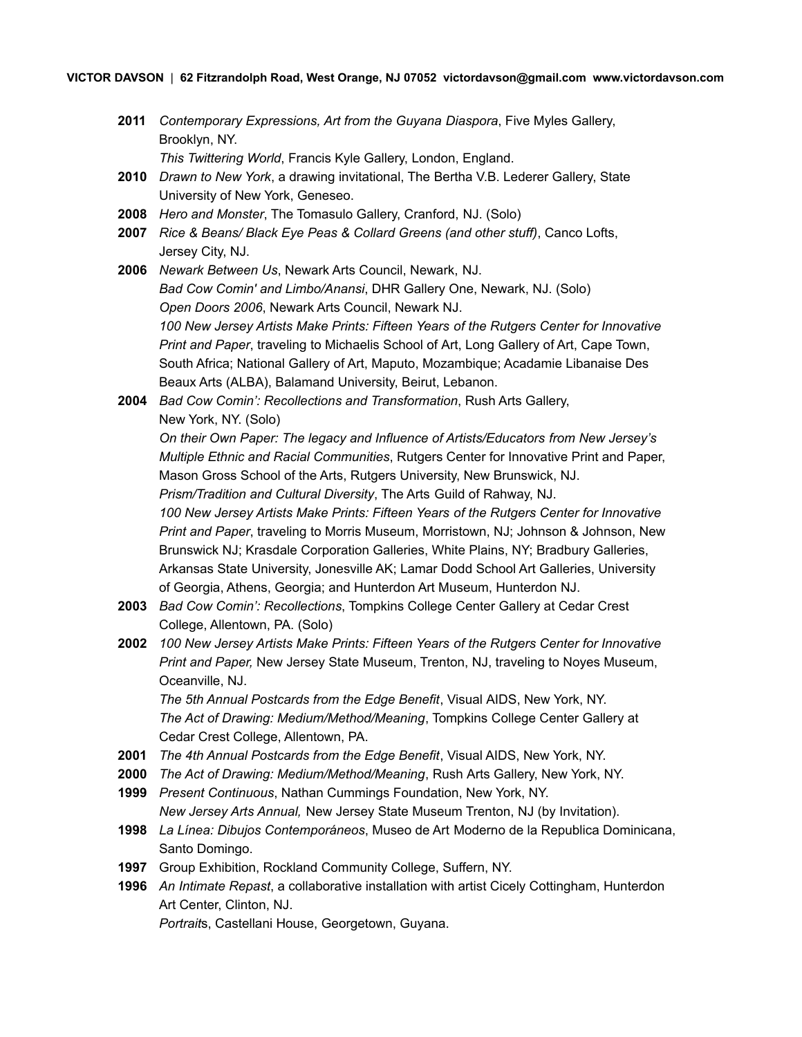**2011** *Contemporary Expressions, Art from the Guyana Diaspora*, Five Myles Gallery, Brooklyn, NY.

*This Twittering World*, Francis Kyle Gallery, London, England.

- **2010** *Drawn to New York*, a drawing invitational, The Bertha V.B. Lederer Gallery, State University of New York, Geneseo.
- **2008** *Hero and Monster*, The Tomasulo Gallery, Cranford, NJ. (Solo)
- **2007** *Rice & Beans/ Black Eye Peas & Collard Greens (and other stuff)*, Canco Lofts, Jersey City, NJ.
- **2006** *Newark Between Us*, Newark Arts Council, Newark, NJ. *Bad Cow Comin' and Limbo/Anansi*, DHR Gallery One, Newark, NJ. (Solo) *Open Doors 2006*, Newark Arts Council, Newark NJ. *100 New Jersey Artists Make Prints: Fifteen Years of the Rutgers Center for Innovative Print and Paper*, traveling to Michaelis School of Art, Long Gallery of Art, Cape Town, South Africa; National Gallery of Art, Maputo, Mozambique; Acadamie Libanaise Des Beaux Arts (ALBA), Balamand University, Beirut, Lebanon.
- **2004** *Bad Cow Comin': Recollections and Transformation*, Rush Arts Gallery, New York, NY. (Solo)

*On their Own Paper: The legacy and Influence of Artists/Educators from New Jersey's Multiple Ethnic and Racial Communities*, Rutgers Center for Innovative Print and Paper, Mason Gross School of the Arts, Rutgers University, New Brunswick, NJ.

*Prism/Tradition and Cultural Diversity*, The Arts Guild of Rahway, NJ. *100 New Jersey Artists Make Prints: Fifteen Years of the Rutgers Center for Innovative Print and Paper*, traveling to Morris Museum, Morristown, NJ; Johnson & Johnson, New Brunswick NJ; Krasdale Corporation Galleries, White Plains, NY; Bradbury Galleries, Arkansas State University, Jonesville AK; Lamar Dodd School Art Galleries, University of Georgia, Athens, Georgia; and Hunterdon Art Museum, Hunterdon NJ.

- **2003** *Bad Cow Comin': Recollections*, Tompkins College Center Gallery at Cedar Crest College, Allentown, PA. (Solo)
- **2002** *100 New Jersey Artists Make Prints: Fifteen Years of the Rutgers Center for Innovative Print and Paper,* New Jersey State Museum, Trenton, NJ, traveling to Noyes Museum, Oceanville, NJ.

*The 5th Annual Postcards from the Edge Benefit*, Visual AIDS, New York, NY. *The Act of Drawing: Medium/Method/Meaning*, Tompkins College Center Gallery at Cedar Crest College, Allentown, PA.

- **2001** *The 4th Annual Postcards from the Edge Benefit*, Visual AIDS, New York, NY.
- **2000** *The Act of Drawing: Medium/Method/Meaning*, Rush Arts Gallery, New York, NY.
- **1999** *Present Continuous*, Nathan Cummings Foundation, New York, NY. *New Jersey Arts Annual,* New Jersey State Museum Trenton, NJ (by Invitation).
- **1998** *La Línea: Dibujos Contemporáneos*, Museo de Art Moderno de la Republica Dominicana, Santo Domingo.
- **1997** Group Exhibition, Rockland Community College, Suffern, NY.
- **1996** *An Intimate Repast*, a collaborative installation with artist Cicely Cottingham, Hunterdon Art Center, Clinton, NJ.

*Portrait*s, Castellani House, Georgetown, Guyana.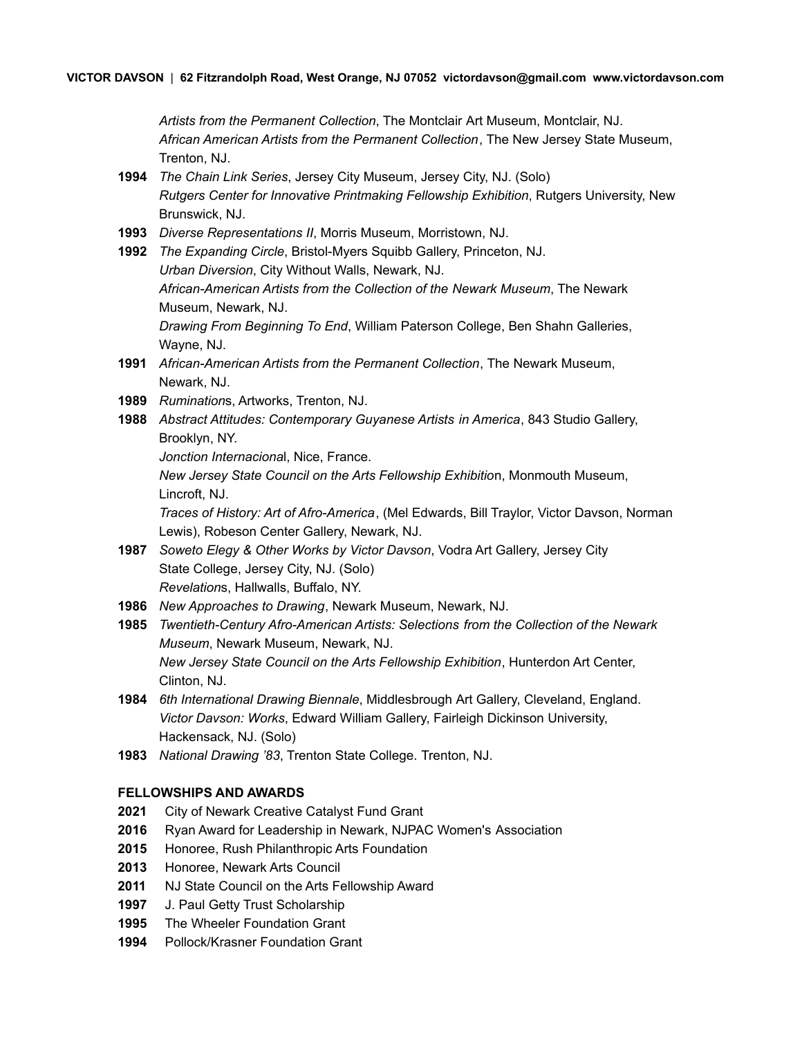*Artists from the Permanent Collection*, The Montclair Art Museum, Montclair, NJ. *African American Artists from the Permanent Collection*, The New Jersey State Museum, Trenton, NJ.

- **1994** *The Chain Link Series*, Jersey City Museum, Jersey City, NJ. (Solo) *Rutgers Center for Innovative Printmaking Fellowship Exhibition*, Rutgers University, New Brunswick, NJ.
- **1993** *Diverse Representations II*, Morris Museum, Morristown, NJ.
- **1992** *The Expanding Circle*, Bristol-Myers Squibb Gallery, Princeton, NJ. *Urban Diversion*, City Without Walls, Newark, NJ. *African-American Artists from the Collection of the Newark Museum*, The Newark Museum, Newark, NJ. *Drawing From Beginning To End*, William Paterson College, Ben Shahn Galleries, Wayne, NJ.
- **1991** *African-American Artists from the Permanent Collection*, The Newark Museum, Newark, NJ.
- **1989** *Rumination*s, Artworks, Trenton, NJ.
- **1988** *Abstract Attitudes: Contemporary Guyanese Artists in America*, 843 Studio Gallery, Brooklyn, NY.
	- *Jonction Internaciona*l, Nice, France.

*New Jersey State Council on the Arts Fellowship Exhibitio*n, Monmouth Museum, Lincroft, NJ.

*Traces of History: Art of Afro-America*, (Mel Edwards, Bill Traylor, Victor Davson, Norman Lewis), Robeson Center Gallery, Newark, NJ.

- **1987** *Soweto Elegy & Other Works by Victor Davson*, Vodra Art Gallery, Jersey City State College, Jersey City, NJ. (Solo) *Revelation*s, Hallwalls, Buffalo, NY.
- **1986** *New Approaches to Drawing*, Newark Museum, Newark, NJ.
- **1985** *Twentieth-Century Afro-American Artists: Selections from the Collection of the Newark Museum*, Newark Museum, Newark, NJ. *New Jersey State Council on the Arts Fellowship Exhibition*, Hunterdon Art Center, Clinton, NJ.
- **1984** *6th International Drawing Biennale*, Middlesbrough Art Gallery, Cleveland, England. *Victor Davson: Works*, Edward William Gallery, Fairleigh Dickinson University, Hackensack, NJ. (Solo)
- **1983** *National Drawing '83*, Trenton State College. Trenton, NJ.

### **FELLOWSHIPS AND AWARDS**

- **2021** City of Newark Creative Catalyst Fund Grant
- **2016** Ryan Award for Leadership in Newark, NJPAC Women's Association
- **2015** Honoree, Rush Philanthropic Arts Foundation
- **2013** Honoree, Newark Arts Council
- **2011** NJ State Council on the Arts Fellowship Award
- **1997** J. Paul Getty Trust Scholarship
- **1995** The Wheeler Foundation Grant
- **1994** Pollock/Krasner Foundation Grant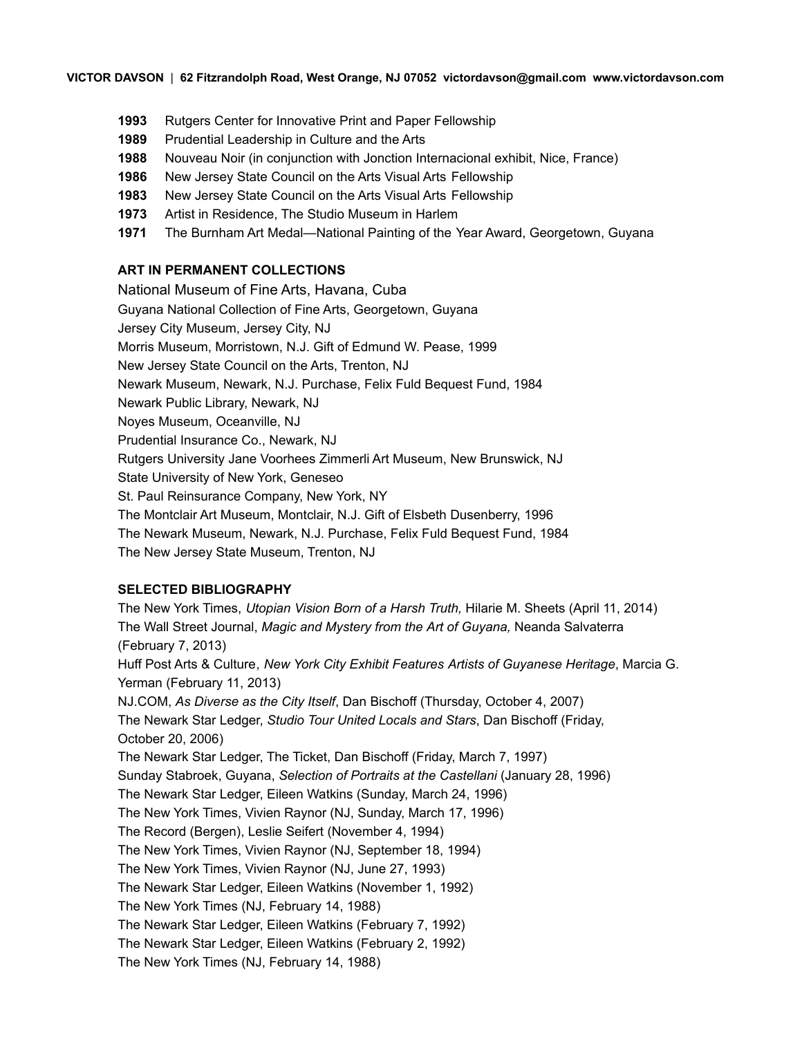- **1993** Rutgers Center for Innovative Print and Paper Fellowship
- **1989** Prudential Leadership in Culture and the Arts
- **1988** Nouveau Noir (in conjunction with Jonction Internacional exhibit, Nice, France)
- **1986** New Jersey State Council on the Arts Visual Arts Fellowship
- **1983** New Jersey State Council on the Arts Visual Arts Fellowship
- **1973** Artist in Residence, The Studio Museum in Harlem
- **1971** The Burnham Art Medal—National Painting of the Year Award, Georgetown, Guyana

#### **ART IN PERMANENT COLLECTIONS**

National Museum of Fine Arts, Havana, Cuba Guyana National Collection of Fine Arts, Georgetown, Guyana Jersey City Museum, Jersey City, NJ Morris Museum, Morristown, N.J. Gift of Edmund W. Pease, 1999 New Jersey State Council on the Arts, Trenton, NJ Newark Museum, Newark, N.J. Purchase, Felix Fuld Bequest Fund, 1984 Newark Public Library, Newark, NJ Noyes Museum, Oceanville, NJ Prudential Insurance Co., Newark, NJ Rutgers University Jane Voorhees Zimmerli Art Museum, New Brunswick, NJ State University of New York, Geneseo St. Paul Reinsurance Company, New York, NY The Montclair Art Museum, Montclair, N.J. Gift of Elsbeth Dusenberry, 1996 The Newark Museum, Newark, N.J. Purchase, Felix Fuld Bequest Fund, 1984 The New Jersey State Museum, Trenton, NJ

#### **SELECTED BIBLIOGRAPHY**

The New York Times, *Utopian Vision Born of a Harsh Truth,* Hilarie M. Sheets (April 11, 2014) The Wall Street Journal, *Magic and Mystery from the Art of Guyana,* Neanda Salvaterra (February 7, 2013) Huff Post Arts & Culture*, New York City Exhibit Features Artists of Guyanese Heritage*, Marcia G. Yerman (February 11, 2013) NJ.COM, *As Diverse as the City Itself*, Dan Bischoff (Thursday, October 4, 2007) The Newark Star Ledger, *Studio Tour United Locals and Stars*, Dan Bischoff (Friday, October 20, 2006) The Newark Star Ledger, The Ticket, Dan Bischoff (Friday, March 7, 1997) Sunday Stabroek, Guyana, *Selection of Portraits at the Castellani* (January 28, 1996) The Newark Star Ledger, Eileen Watkins (Sunday, March 24, 1996) The New York Times, Vivien Raynor (NJ, Sunday, March 17, 1996) The Record (Bergen), Leslie Seifert (November 4, 1994) The New York Times, Vivien Raynor (NJ, September 18, 1994) The New York Times, Vivien Raynor (NJ, June 27, 1993) The Newark Star Ledger, Eileen Watkins (November 1, 1992) The New York Times (NJ, February 14, 1988) The Newark Star Ledger, Eileen Watkins (February 7, 1992) The Newark Star Ledger, Eileen Watkins (February 2, 1992) The New York Times (NJ, February 14, 1988)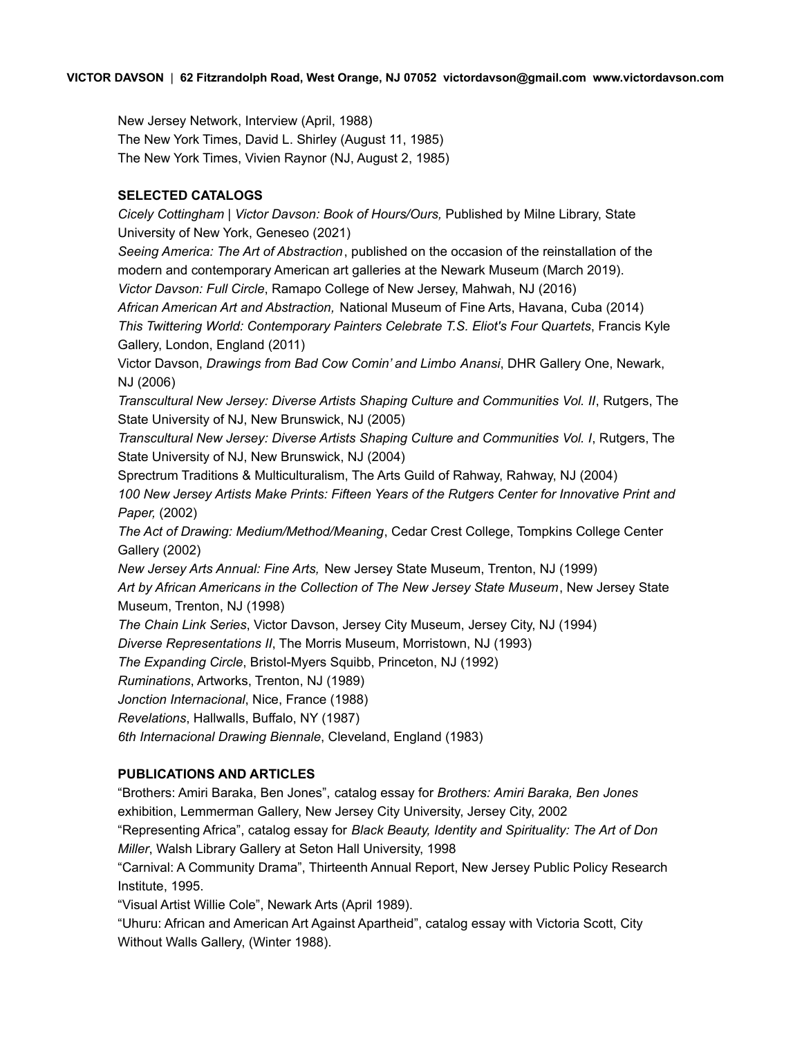New Jersey Network, Interview (April, 1988) The New York Times, David L. Shirley (August 11, 1985) The New York Times, Vivien Raynor (NJ, August 2, 1985)

### **SELECTED CATALOGS**

*Cicely Cottingham | Victor Davson: Book of Hours/Ours,* Published by Milne Library, State University of New York, Geneseo (2021) *Seeing America: The Art of Abstraction*, published on the occasion of the reinstallation of the modern and contemporary American art galleries at the Newark Museum (March 2019). *Victor Davson: Full Circle*, Ramapo College of New Jersey, Mahwah, NJ (2016) *African American Art and Abstraction,* National Museum of Fine Arts, Havana, Cuba (2014) *This Twittering World: Contemporary Painters Celebrate T.S. Eliot's Four Quartets*, Francis Kyle Gallery, London, England (2011) Victor Davson, *Drawings from Bad Cow Comin' and Limbo Anansi*, DHR Gallery One, Newark, NJ (2006) *Transcultural New Jersey: Diverse Artists Shaping Culture and Communities Vol. II*, Rutgers, The State University of NJ, New Brunswick, NJ (2005) *Transcultural New Jersey: Diverse Artists Shaping Culture and Communities Vol. I*, Rutgers, The State University of NJ, New Brunswick, NJ (2004) Sprectrum Traditions & Multiculturalism, The Arts Guild of Rahway, Rahway, NJ (2004) *100 New Jersey Artists Make Prints: Fifteen Years of the Rutgers Center for Innovative Print and Paper,* (2002) *The Act of Drawing: Medium/Method/Meaning*, Cedar Crest College, Tompkins College Center Gallery (2002) *New Jersey Arts Annual: Fine Arts,* New Jersey State Museum, Trenton, NJ (1999) *Art by African Americans in the Collection of The New Jersey State Museum*, New Jersey State Museum, Trenton, NJ (1998) *The Chain Link Series*, Victor Davson, Jersey City Museum, Jersey City, NJ (1994) *Diverse Representations II*, The Morris Museum, Morristown, NJ (1993) *The Expanding Circle*, Bristol-Myers Squibb, Princeton, NJ (1992) *Ruminations*, Artworks, Trenton, NJ (1989) *Jonction Internacional*, Nice, France (1988) *Revelations*, Hallwalls, Buffalo, NY (1987) *6th Internacional Drawing Biennale*, Cleveland, England (1983) **PUBLICATIONS AND ARTICLES** "Brothers: Amiri Baraka, Ben Jones", catalog essay for *Brothers: Amiri Baraka, Ben Jones*

exhibition, Lemmerman Gallery, New Jersey City University, Jersey City, 2002

"Representing Africa", catalog essay for *Black Beauty, Identity and Spirituality: The Art of Don Miller*, Walsh Library Gallery at Seton Hall University, 1998

"Carnival: A Community Drama", Thirteenth Annual Report, New Jersey Public Policy Research Institute, 1995.

"Visual Artist Willie Cole", Newark Arts (April 1989).

"Uhuru: African and American Art Against Apartheid", catalog essay with Victoria Scott, City Without Walls Gallery, (Winter 1988).